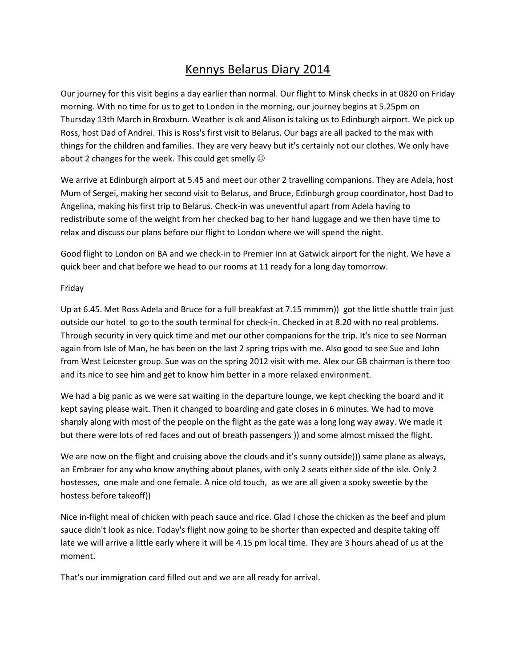# Kennys Belarus Diary 2014

Our journey for this visit begins a day earlier than normal. Our flight to Minsk checks in at 0820 on Friday morning. With no time for us to get to London in the morning, our journey begins at 5.25pm on Thursday 13th March in Broxburn. Weather is ok and Alison is taking us to Edinburgh airport. We pick up Ross, host Dad of Andrei. This is Ross's first visit to Belarus. Our bags are all packed to the max with things for the children and families. They are very heavy but it's certainly not our clothes. We only have about 2 changes for the week. This could get smelly  $\odot$ 

We arrive at Edinburgh airport at 5.45 and meet our other 2 travelling companions. They are Adela, host Mum of Sergei, making her second visit to Belarus, and Bruce, Edinburgh group coordinator, host Dad to Angelina, making his first trip to Belarus. Check-in was uneventful apart from Adela having to redistribute some of the weight from her checked bag to her hand luggage and we then have time to relax and discuss our plans before our flight to London where we will spend the night.

Good flight to London on BA and we check-in to Premier Inn at Gatwick airport for the night. We have a quick beer and chat before we head to our rooms at 11 ready for a long day tomorrow.

### Friday

Up at 6.45. Met Ross Adela and Bruce for a full breakfast at 7.15 mmmm)) got the little shuttle train just outside our hotel to go to the south terminal for check-in. Checked in at 8.20 with no real problems. Through security in very quick time and met our other companions for the trip. It's nice to see Norman again from Isle of Man, he has been on the last 2 spring trips with me. Also good to see Sue and John from West Leicester group. Sue was on the spring 2012 visit with me. Alex our GB chairman is there too and its nice to see him and get to know him better in a more relaxed environment.

We had a big panic as we were sat waiting in the departure lounge, we kept checking the board and it kept saying please wait. Then it changed to boarding and gate closes in 6 minutes. We had to move sharply along with most of the people on the flight as the gate was a long long way away. We made it but there were lots of red faces and out of breath passengers )) and some almost missed the flight.

We are now on the flight and cruising above the clouds and it's sunny outside))) same plane as always, an Embraer for any who know anything about planes, with only 2 seats either side of the isle. Only 2 hostesses, one male and one female. A nice old touch, as we are all given a sooky sweetie by the hostess before takeoff))

Nice in-flight meal of chicken with peach sauce and rice. Glad I chose the chicken as the beef and plum sauce didn't look as nice. Today's flight now going to be shorter than expected and despite taking off late we will arrive a little early where it will be 4.15 pm local time. They are 3 hours ahead of us at the moment.

That's our immigration card filled out and we are all ready for arrival.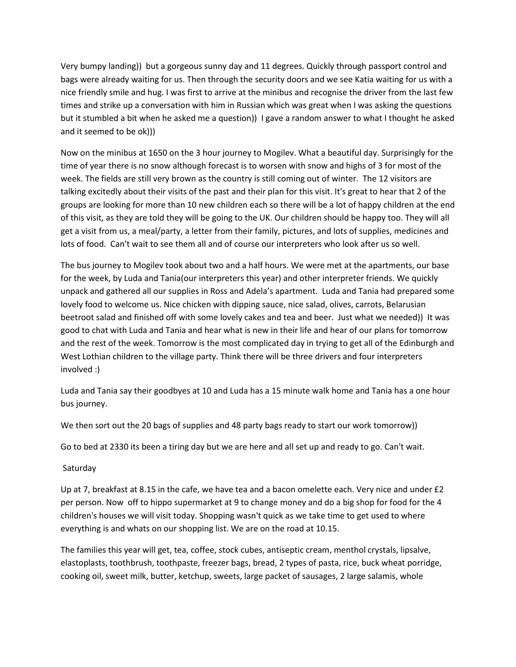Very bumpy landing)) but a gorgeous sunny day and 11 degrees. Quickly through passport control and bags were already waiting for us. Then through the security doors and we see Katia waiting for us with a nice friendly smile and hug. I was first to arrive at the minibus and recognise the driver from the last few times and strike up a conversation with him in Russian which was great when I was asking the questions but it stumbled a bit when he asked me a question)) I gave a random answer to what I thought he asked and it seemed to be ok)))

Now on the minibus at 1650 on the 3 hour journey to Mogilev. What a beautiful day. Surprisingly for the time of year there is no snow although forecast is to worsen with snow and highs of 3 for most of the week. The fields are still very brown as the country is still coming out of winter. The 12 visitors are talking excitedly about their visits of the past and their plan for this visit. It's great to hear that 2 of the groups are looking for more than 10 new children each so there will be a lot of happy children at the end of this visit, as they are told they will be going to the UK. Our children should be happy too. They will all get a visit from us, a meal/party, a letter from their family, pictures, and lots of supplies, medicines and lots of food. Can't wait to see them all and of course our interpreters who look after us so well.

The bus journey to Mogilev took about two and a half hours. We were met at the apartments, our base for the week, by Luda and Tania(our interpreters this year) and other interpreter friends. We quickly unpack and gathered all our supplies in Ross and Adela's apartment. Luda and Tania had prepared some lovely food to welcome us. Nice chicken with dipping sauce, nice salad, olives, carrots, Belarusian beetroot salad and finished off with some lovely cakes and tea and beer. Just what we needed)) It was good to chat with Luda and Tania and hear what is new in their life and hear of our plans for tomorrow and the rest of the week. Tomorrow is the most complicated day in trying to get all of the Edinburgh and West Lothian children to the village party. Think there will be three drivers and four interpreters involved :)

Luda and Tania say their goodbyes at 10 and Luda has a 15 minute walk home and Tania has a one hour bus journey.

We then sort out the 20 bags of supplies and 48 party bags ready to start our work tomorrow))

Go to bed at 2330 its been a tiring day but we are here and all set up and ready to go. Can't wait.

### Saturday

Up at 7, breakfast at 8.15 in the cafe, we have tea and a bacon omelette each. Very nice and under £2 per person. Now off to hippo supermarket at 9 to change money and do a big shop for food for the 4 children's houses we will visit today. Shopping wasn't quick as we take time to get used to where everything is and whats on our shopping list. We are on the road at 10.15.

The families this year will get, tea, coffee, stock cubes, antiseptic cream, menthol crystals, lipsalve, elastoplasts, toothbrush, toothpaste, freezer bags, bread, 2 types of pasta, rice, buck wheat porridge, cooking oil, sweet milk, butter, ketchup, sweets, large packet of sausages, 2 large salamis, whole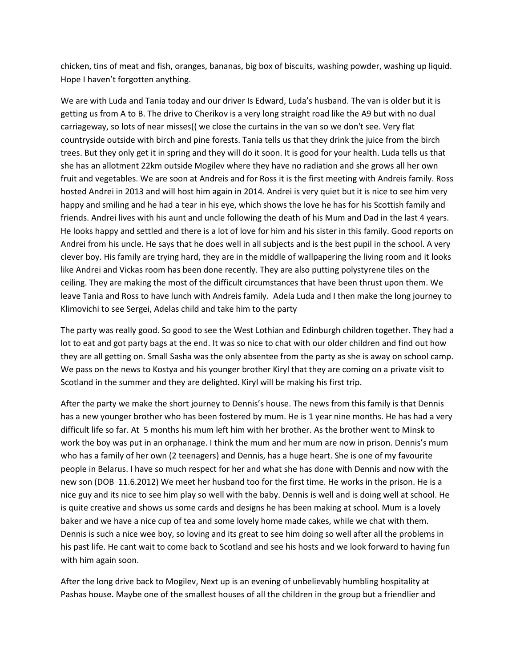chicken, tins of meat and fish, oranges, bananas, big box of biscuits, washing powder, washing up liquid. Hope I haven't forgotten anything.

We are with Luda and Tania today and our driver Is Edward, Luda's husband. The van is older but it is getting us from A to B. The drive to Cherikov is a very long straight road like the A9 but with no dual carriageway, so lots of near misses(( we close the curtains in the van so we don't see. Very flat countryside outside with birch and pine forests. Tania tells us that they drink the juice from the birch trees. But they only get it in spring and they will do it soon. It is good for your health. Luda tells us that she has an allotment 22km outside Mogilev where they have no radiation and she grows all her own fruit and vegetables. We are soon at Andreis and for Ross it is the first meeting with Andreis family. Ross hosted Andrei in 2013 and will host him again in 2014. Andrei is very quiet but it is nice to see him very happy and smiling and he had a tear in his eye, which shows the love he has for his Scottish family and friends. Andrei lives with his aunt and uncle following the death of his Mum and Dad in the last 4 years. He looks happy and settled and there is a lot of love for him and his sister in this family. Good reports on Andrei from his uncle. He says that he does well in all subjects and is the best pupil in the school. A very clever boy. His family are trying hard, they are in the middle of wallpapering the living room and it looks like Andrei and Vickas room has been done recently. They are also putting polystyrene tiles on the ceiling. They are making the most of the difficult circumstances that have been thrust upon them. We leave Tania and Ross to have lunch with Andreis family. Adela Luda and I then make the long journey to Klimovichi to see Sergei, Adelas child and take him to the party

The party was really good. So good to see the West Lothian and Edinburgh children together. They had a lot to eat and got party bags at the end. It was so nice to chat with our older children and find out how they are all getting on. Small Sasha was the only absentee from the party as she is away on school camp. We pass on the news to Kostya and his younger brother Kiryl that they are coming on a private visit to Scotland in the summer and they are delighted. Kiryl will be making his first trip.

After the party we make the short journey to Dennis's house. The news from this family is that Dennis has a new younger brother who has been fostered by mum. He is 1 year nine months. He has had a very difficult life so far. At 5 months his mum left him with her brother. As the brother went to Minsk to work the boy was put in an orphanage. I think the mum and her mum are now in prison. Dennis's mum who has a family of her own (2 teenagers) and Dennis, has a huge heart. She is one of my favourite people in Belarus. I have so much respect for her and what she has done with Dennis and now with the new son (DOB 11.6.2012) We meet her husband too for the first time. He works in the prison. He is a nice guy and its nice to see him play so well with the baby. Dennis is well and is doing well at school. He is quite creative and shows us some cards and designs he has been making at school. Mum is a lovely baker and we have a nice cup of tea and some lovely home made cakes, while we chat with them. Dennis is such a nice wee boy, so loving and its great to see him doing so well after all the problems in his past life. He cant wait to come back to Scotland and see his hosts and we look forward to having fun with him again soon.

After the long drive back to Mogilev, Next up is an evening of unbelievably humbling hospitality at Pashas house. Maybe one of the smallest houses of all the children in the group but a friendlier and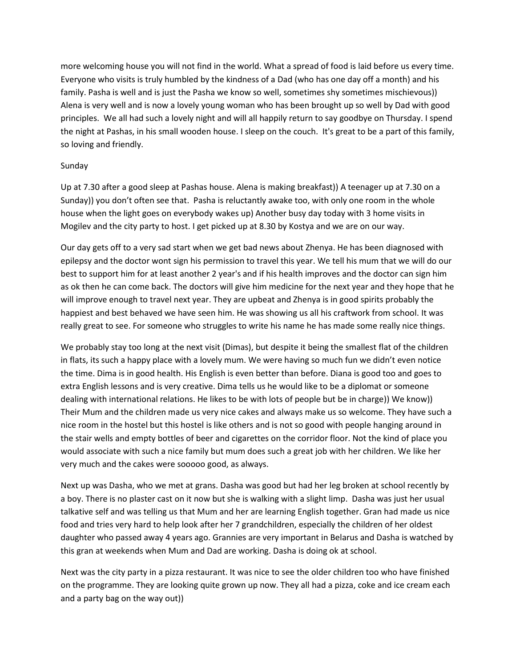more welcoming house you will not find in the world. What a spread of food is laid before us every time. Everyone who visits is truly humbled by the kindness of a Dad (who has one day off a month) and his family. Pasha is well and is just the Pasha we know so well, sometimes shy sometimes mischievous)) Alena is very well and is now a lovely young woman who has been brought up so well by Dad with good principles. We all had such a lovely night and will all happily return to say goodbye on Thursday. I spend the night at Pashas, in his small wooden house. I sleep on the couch. It's great to be a part of this family, so loving and friendly.

## Sunday

Up at 7.30 after a good sleep at Pashas house. Alena is making breakfast)) A teenager up at 7.30 on a Sunday)) you don't often see that. Pasha is reluctantly awake too, with only one room in the whole house when the light goes on everybody wakes up) Another busy day today with 3 home visits in Mogilev and the city party to host. I get picked up at 8.30 by Kostya and we are on our way.

Our day gets off to a very sad start when we get bad news about Zhenya. He has been diagnosed with epilepsy and the doctor wont sign his permission to travel this year. We tell his mum that we will do our best to support him for at least another 2 year's and if his health improves and the doctor can sign him as ok then he can come back. The doctors will give him medicine for the next year and they hope that he will improve enough to travel next year. They are upbeat and Zhenya is in good spirits probably the happiest and best behaved we have seen him. He was showing us all his craftwork from school. It was really great to see. For someone who struggles to write his name he has made some really nice things.

We probably stay too long at the next visit (Dimas), but despite it being the smallest flat of the children in flats, its such a happy place with a lovely mum. We were having so much fun we didn't even notice the time. Dima is in good health. His English is even better than before. Diana is good too and goes to extra English lessons and is very creative. Dima tells us he would like to be a diplomat or someone dealing with international relations. He likes to be with lots of people but be in charge)) We know)) Their Mum and the children made us very nice cakes and always make us so welcome. They have such a nice room in the hostel but this hostel is like others and is not so good with people hanging around in the stair wells and empty bottles of beer and cigarettes on the corridor floor. Not the kind of place you would associate with such a nice family but mum does such a great job with her children. We like her very much and the cakes were sooooo good, as always.

Next up was Dasha, who we met at grans. Dasha was good but had her leg broken at school recently by a boy. There is no plaster cast on it now but she is walking with a slight limp. Dasha was just her usual talkative self and was telling us that Mum and her are learning English together. Gran had made us nice food and tries very hard to help look after her 7 grandchildren, especially the children of her oldest daughter who passed away 4 years ago. Grannies are very important in Belarus and Dasha is watched by this gran at weekends when Mum and Dad are working. Dasha is doing ok at school.

Next was the city party in a pizza restaurant. It was nice to see the older children too who have finished on the programme. They are looking quite grown up now. They all had a pizza, coke and ice cream each and a party bag on the way out))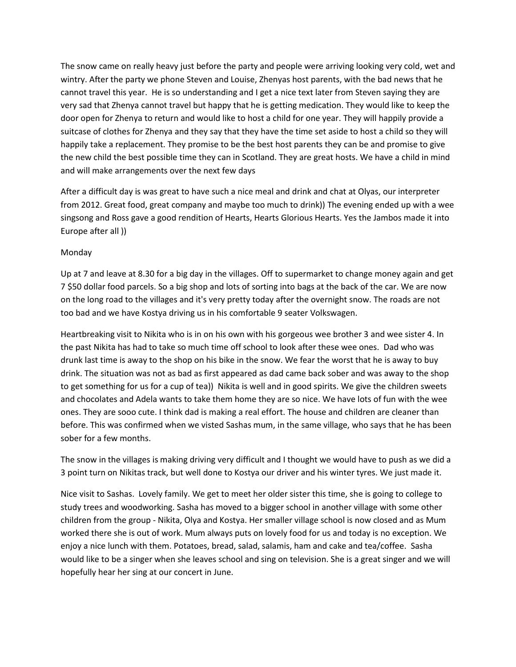The snow came on really heavy just before the party and people were arriving looking very cold, wet and wintry. After the party we phone Steven and Louise, Zhenyas host parents, with the bad news that he cannot travel this year. He is so understanding and I get a nice text later from Steven saying they are very sad that Zhenya cannot travel but happy that he is getting medication. They would like to keep the door open for Zhenya to return and would like to host a child for one year. They will happily provide a suitcase of clothes for Zhenya and they say that they have the time set aside to host a child so they will happily take a replacement. They promise to be the best host parents they can be and promise to give the new child the best possible time they can in Scotland. They are great hosts. We have a child in mind and will make arrangements over the next few days

After a difficult day is was great to have such a nice meal and drink and chat at Olyas, our interpreter from 2012. Great food, great company and maybe too much to drink)) The evening ended up with a wee singsong and Ross gave a good rendition of Hearts, Hearts Glorious Hearts. Yes the Jambos made it into Europe after all ))

### Monday

Up at 7 and leave at 8.30 for a big day in the villages. Off to supermarket to change money again and get 7 \$50 dollar food parcels. So a big shop and lots of sorting into bags at the back of the car. We are now on the long road to the villages and it's very pretty today after the overnight snow. The roads are not too bad and we have Kostya driving us in his comfortable 9 seater Volkswagen.

Heartbreaking visit to Nikita who is in on his own with his gorgeous wee brother 3 and wee sister 4. In the past Nikita has had to take so much time off school to look after these wee ones. Dad who was drunk last time is away to the shop on his bike in the snow. We fear the worst that he is away to buy drink. The situation was not as bad as first appeared as dad came back sober and was away to the shop to get something for us for a cup of tea)) Nikita is well and in good spirits. We give the children sweets and chocolates and Adela wants to take them home they are so nice. We have lots of fun with the wee ones. They are sooo cute. I think dad is making a real effort. The house and children are cleaner than before. This was confirmed when we visted Sashas mum, in the same village, who says that he has been sober for a few months.

The snow in the villages is making driving very difficult and I thought we would have to push as we did a 3 point turn on Nikitas track, but well done to Kostya our driver and his winter tyres. We just made it.

Nice visit to Sashas. Lovely family. We get to meet her older sister this time, she is going to college to study trees and woodworking. Sasha has moved to a bigger school in another village with some other children from the group - Nikita, Olya and Kostya. Her smaller village school is now closed and as Mum worked there she is out of work. Mum always puts on lovely food for us and today is no exception. We enjoy a nice lunch with them. Potatoes, bread, salad, salamis, ham and cake and tea/coffee. Sasha would like to be a singer when she leaves school and sing on television. She is a great singer and we will hopefully hear her sing at our concert in June.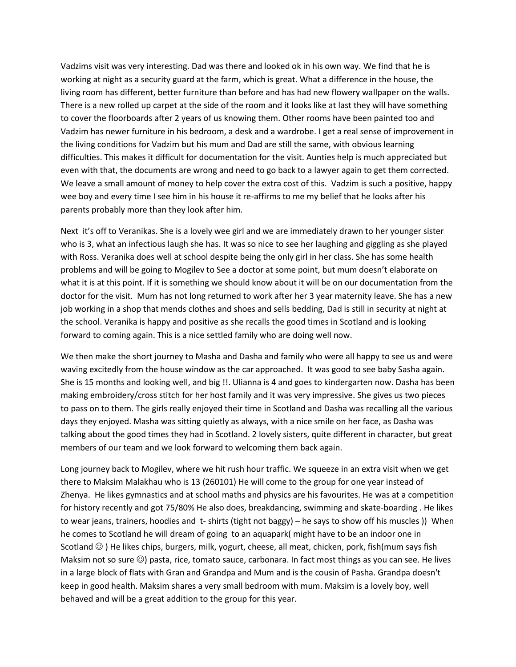Vadzims visit was very interesting. Dad was there and looked ok in his own way. We find that he is working at night as a security guard at the farm, which is great. What a difference in the house, the living room has different, better furniture than before and has had new flowery wallpaper on the walls. There is a new rolled up carpet at the side of the room and it looks like at last they will have something to cover the floorboards after 2 years of us knowing them. Other rooms have been painted too and Vadzim has newer furniture in his bedroom, a desk and a wardrobe. I get a real sense of improvement in the living conditions for Vadzim but his mum and Dad are still the same, with obvious learning difficulties. This makes it difficult for documentation for the visit. Aunties help is much appreciated but even with that, the documents are wrong and need to go back to a lawyer again to get them corrected. We leave a small amount of money to help cover the extra cost of this. Vadzim is such a positive, happy wee boy and every time I see him in his house it re-affirms to me my belief that he looks after his parents probably more than they look after him.

Next it's off to Veranikas. She is a lovely wee girl and we are immediately drawn to her younger sister who is 3, what an infectious laugh she has. It was so nice to see her laughing and giggling as she played with Ross. Veranika does well at school despite being the only girl in her class. She has some health problems and will be going to Mogilev to See a doctor at some point, but mum doesn't elaborate on what it is at this point. If it is something we should know about it will be on our documentation from the doctor for the visit. Mum has not long returned to work after her 3 year maternity leave. She has a new job working in a shop that mends clothes and shoes and sells bedding, Dad is still in security at night at the school. Veranika is happy and positive as she recalls the good times in Scotland and is looking forward to coming again. This is a nice settled family who are doing well now.

We then make the short journey to Masha and Dasha and family who were all happy to see us and were waving excitedly from the house window as the car approached. It was good to see baby Sasha again. She is 15 months and looking well, and big !!. Ulianna is 4 and goes to kindergarten now. Dasha has been making embroidery/cross stitch for her host family and it was very impressive. She gives us two pieces to pass on to them. The girls really enjoyed their time in Scotland and Dasha was recalling all the various days they enjoyed. Masha was sitting quietly as always, with a nice smile on her face, as Dasha was talking about the good times they had in Scotland. 2 lovely sisters, quite different in character, but great members of our team and we look forward to welcoming them back again.

Long journey back to Mogilev, where we hit rush hour traffic. We squeeze in an extra visit when we get there to Maksim Malakhau who is 13 (260101) He will come to the group for one year instead of Zhenya. He likes gymnastics and at school maths and physics are his favourites. He was at a competition for history recently and got 75/80% He also does, breakdancing, swimming and skate-boarding . He likes to wear jeans, trainers, hoodies and t- shirts (tight not baggy) – he says to show off his muscles )) When he comes to Scotland he will dream of going to an aquapark( might have to be an indoor one in Scotland  $\odot$  ) He likes chips, burgers, milk, yogurt, cheese, all meat, chicken, pork, fish(mum says fish Maksim not so sure  $\circledcirc$ ) pasta, rice, tomato sauce, carbonara. In fact most things as you can see. He lives in a large block of flats with Gran and Grandpa and Mum and is the cousin of Pasha. Grandpa doesn't keep in good health. Maksim shares a very small bedroom with mum. Maksim is a lovely boy, well behaved and will be a great addition to the group for this year.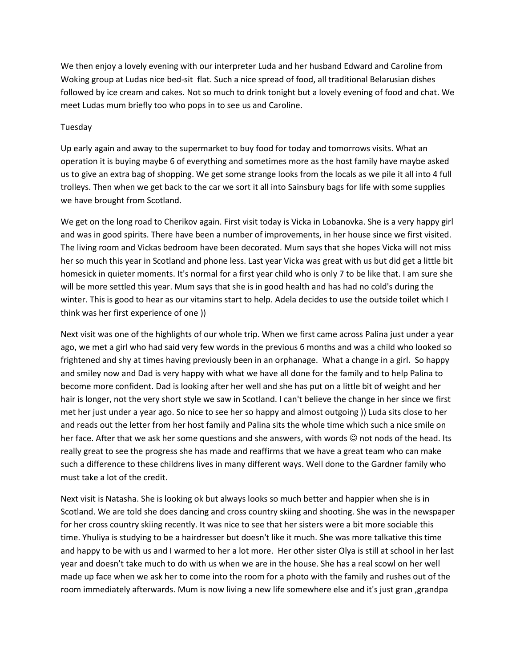We then enjoy a lovely evening with our interpreter Luda and her husband Edward and Caroline from Woking group at Ludas nice bed-sit flat. Such a nice spread of food, all traditional Belarusian dishes followed by ice cream and cakes. Not so much to drink tonight but a lovely evening of food and chat. We meet Ludas mum briefly too who pops in to see us and Caroline.

#### Tuesday

Up early again and away to the supermarket to buy food for today and tomorrows visits. What an operation it is buying maybe 6 of everything and sometimes more as the host family have maybe asked us to give an extra bag of shopping. We get some strange looks from the locals as we pile it all into 4 full trolleys. Then when we get back to the car we sort it all into Sainsbury bags for life with some supplies we have brought from Scotland.

We get on the long road to Cherikov again. First visit today is Vicka in Lobanovka. She is a very happy girl and was in good spirits. There have been a number of improvements, in her house since we first visited. The living room and Vickas bedroom have been decorated. Mum says that she hopes Vicka will not miss her so much this year in Scotland and phone less. Last year Vicka was great with us but did get a little bit homesick in quieter moments. It's normal for a first year child who is only 7 to be like that. I am sure she will be more settled this year. Mum says that she is in good health and has had no cold's during the winter. This is good to hear as our vitamins start to help. Adela decides to use the outside toilet which I think was her first experience of one ))

Next visit was one of the highlights of our whole trip. When we first came across Palina just under a year ago, we met a girl who had said very few words in the previous 6 months and was a child who looked so frightened and shy at times having previously been in an orphanage. What a change in a girl. So happy and smiley now and Dad is very happy with what we have all done for the family and to help Palina to become more confident. Dad is looking after her well and she has put on a little bit of weight and her hair is longer, not the very short style we saw in Scotland. I can't believe the change in her since we first met her just under a year ago. So nice to see her so happy and almost outgoing )) Luda sits close to her and reads out the letter from her host family and Palina sits the whole time which such a nice smile on her face. After that we ask her some questions and she answers, with words  $\heartsuit$  not nods of the head. Its really great to see the progress she has made and reaffirms that we have a great team who can make such a difference to these childrens lives in many different ways. Well done to the Gardner family who must take a lot of the credit.

Next visit is Natasha. She is looking ok but always looks so much better and happier when she is in Scotland. We are told she does dancing and cross country skiing and shooting. She was in the newspaper for her cross country skiing recently. It was nice to see that her sisters were a bit more sociable this time. Yhuliya is studying to be a hairdresser but doesn't like it much. She was more talkative this time and happy to be with us and I warmed to her a lot more. Her other sister Olya is still at school in her last year and doesn't take much to do with us when we are in the house. She has a real scowl on her well made up face when we ask her to come into the room for a photo with the family and rushes out of the room immediately afterwards. Mum is now living a new life somewhere else and it's just gran ,grandpa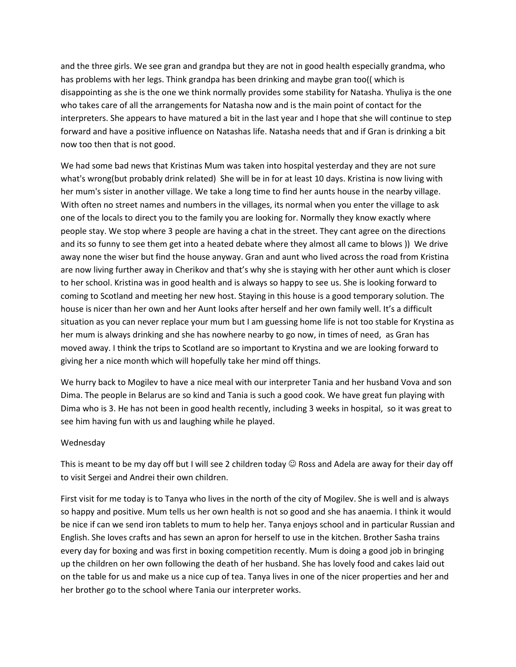and the three girls. We see gran and grandpa but they are not in good health especially grandma, who has problems with her legs. Think grandpa has been drinking and maybe gran too(( which is disappointing as she is the one we think normally provides some stability for Natasha. Yhuliya is the one who takes care of all the arrangements for Natasha now and is the main point of contact for the interpreters. She appears to have matured a bit in the last year and I hope that she will continue to step forward and have a positive influence on Natashas life. Natasha needs that and if Gran is drinking a bit now too then that is not good.

We had some bad news that Kristinas Mum was taken into hospital yesterday and they are not sure what's wrong(but probably drink related) She will be in for at least 10 days. Kristina is now living with her mum's sister in another village. We take a long time to find her aunts house in the nearby village. With often no street names and numbers in the villages, its normal when you enter the village to ask one of the locals to direct you to the family you are looking for. Normally they know exactly where people stay. We stop where 3 people are having a chat in the street. They cant agree on the directions and its so funny to see them get into a heated debate where they almost all came to blows )) We drive away none the wiser but find the house anyway. Gran and aunt who lived across the road from Kristina are now living further away in Cherikov and that's why she is staying with her other aunt which is closer to her school. Kristina was in good health and is always so happy to see us. She is looking forward to coming to Scotland and meeting her new host. Staying in this house is a good temporary solution. The house is nicer than her own and her Aunt looks after herself and her own family well. It's a difficult situation as you can never replace your mum but I am guessing home life is not too stable for Krystina as her mum is always drinking and she has nowhere nearby to go now, in times of need, as Gran has moved away. I think the trips to Scotland are so important to Krystina and we are looking forward to giving her a nice month which will hopefully take her mind off things.

We hurry back to Mogilev to have a nice meal with our interpreter Tania and her husband Vova and son Dima. The people in Belarus are so kind and Tania is such a good cook. We have great fun playing with Dima who is 3. He has not been in good health recently, including 3 weeks in hospital, so it was great to see him having fun with us and laughing while he played.

#### Wednesday

This is meant to be my day off but I will see 2 children today  $\mathcal O$  Ross and Adela are away for their day off to visit Sergei and Andrei their own children.

First visit for me today is to Tanya who lives in the north of the city of Mogilev. She is well and is always so happy and positive. Mum tells us her own health is not so good and she has anaemia. I think it would be nice if can we send iron tablets to mum to help her. Tanya enjoys school and in particular Russian and English. She loves crafts and has sewn an apron for herself to use in the kitchen. Brother Sasha trains every day for boxing and was first in boxing competition recently. Mum is doing a good job in bringing up the children on her own following the death of her husband. She has lovely food and cakes laid out on the table for us and make us a nice cup of tea. Tanya lives in one of the nicer properties and her and her brother go to the school where Tania our interpreter works.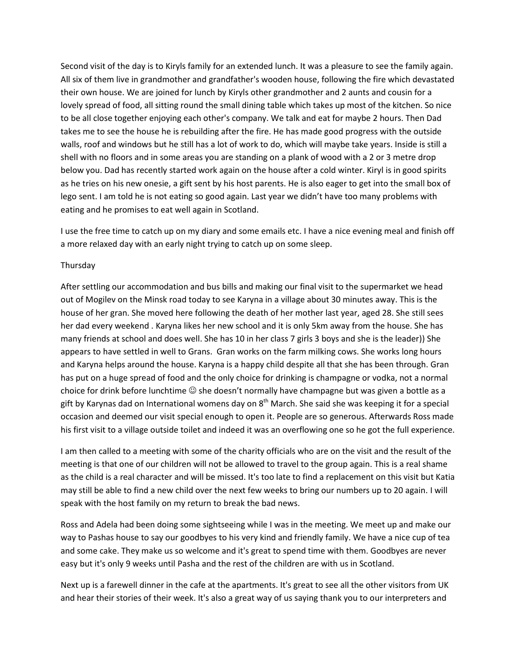Second visit of the day is to Kiryls family for an extended lunch. It was a pleasure to see the family again. All six of them live in grandmother and grandfather's wooden house, following the fire which devastated their own house. We are joined for lunch by Kiryls other grandmother and 2 aunts and cousin for a lovely spread of food, all sitting round the small dining table which takes up most of the kitchen. So nice to be all close together enjoying each other's company. We talk and eat for maybe 2 hours. Then Dad takes me to see the house he is rebuilding after the fire. He has made good progress with the outside walls, roof and windows but he still has a lot of work to do, which will maybe take years. Inside is still a shell with no floors and in some areas you are standing on a plank of wood with a 2 or 3 metre drop below you. Dad has recently started work again on the house after a cold winter. Kiryl is in good spirits as he tries on his new onesie, a gift sent by his host parents. He is also eager to get into the small box of lego sent. I am told he is not eating so good again. Last year we didn't have too many problems with eating and he promises to eat well again in Scotland.

I use the free time to catch up on my diary and some emails etc. I have a nice evening meal and finish off a more relaxed day with an early night trying to catch up on some sleep.

### Thursday

After settling our accommodation and bus bills and making our final visit to the supermarket we head out of Mogilev on the Minsk road today to see Karyna in a village about 30 minutes away. This is the house of her gran. She moved here following the death of her mother last year, aged 28. She still sees her dad every weekend . Karyna likes her new school and it is only 5km away from the house. She has many friends at school and does well. She has 10 in her class 7 girls 3 boys and she is the leader)) She appears to have settled in well to Grans. Gran works on the farm milking cows. She works long hours and Karyna helps around the house. Karyna is a happy child despite all that she has been through. Gran has put on a huge spread of food and the only choice for drinking is champagne or vodka, not a normal choice for drink before lunchtime  $\odot$  she doesn't normally have champagne but was given a bottle as a gift by Karynas dad on International womens day on  $8<sup>th</sup>$  March. She said she was keeping it for a special occasion and deemed our visit special enough to open it. People are so generous. Afterwards Ross made his first visit to a village outside toilet and indeed it was an overflowing one so he got the full experience.

I am then called to a meeting with some of the charity officials who are on the visit and the result of the meeting is that one of our children will not be allowed to travel to the group again. This is a real shame as the child is a real character and will be missed. It's too late to find a replacement on this visit but Katia may still be able to find a new child over the next few weeks to bring our numbers up to 20 again. I will speak with the host family on my return to break the bad news.

Ross and Adela had been doing some sightseeing while I was in the meeting. We meet up and make our way to Pashas house to say our goodbyes to his very kind and friendly family. We have a nice cup of tea and some cake. They make us so welcome and it's great to spend time with them. Goodbyes are never easy but it's only 9 weeks until Pasha and the rest of the children are with us in Scotland.

Next up is a farewell dinner in the cafe at the apartments. It's great to see all the other visitors from UK and hear their stories of their week. It's also a great way of us saying thank you to our interpreters and